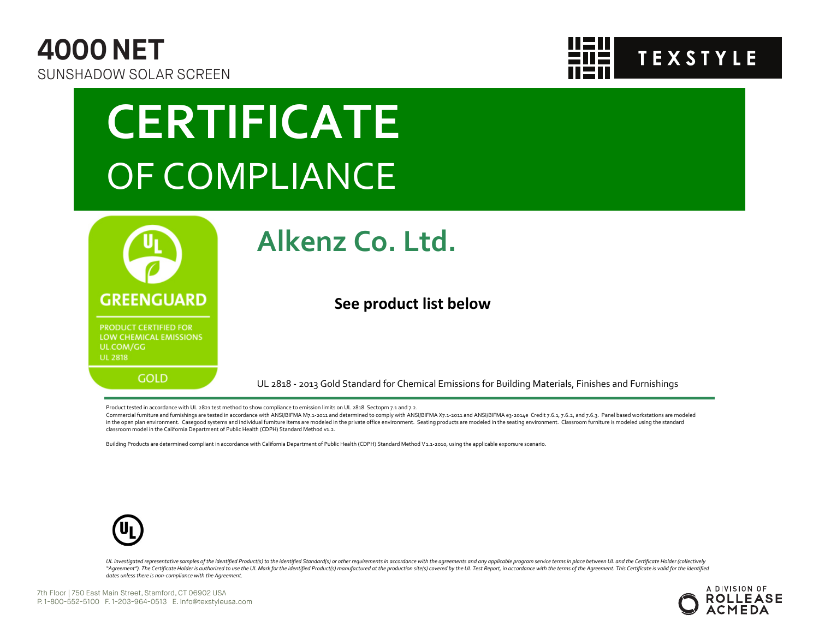



# **CERTIFICATE** OF COMPLIANCE



### **Alkenz Co. Ltd.**

#### **See product list below**

UL 2818 - 2013 Gold Standard for Chemical Emissions for Building Materials, Finishes and Furnishings

Product tested in accordance with UL 2821 test method to show compliance to emission limits on UL 2818. Sectopm 7.1 and 7.2.

Commercial furniture and furnishings are tested in accordance with ANSI/BIFMA M7.1-2011 and determined to comply with ANSI/BIFMA X7.1-2011 and ANSI/BIFMA e3-2014e Credit 7.6.1, 7.6.2, and 7.6.3. Panel based workstations ar in the open plan environment. Casegood systems and individual furniture items are modeled in the private office environment. Seating products are modeled in the seating environment. Classroom furniture is modeled using the classroom model in the California Department of Public Health (CDPH) Standard Method v1.2.

Building Products are determined compliant in accordance with California Department of Public Health (CDPH) Standard Method V1.1-2010, using the applicable exporsure scenario.



UL investigated representative samples of the identified Product(s) to the identified Standard(s) or other requirements in accordance with the agreements and any applicable program service terms in place between UL and the "Agreement"). The Certificate Holder is authorized to use the UL Mark for the identified Product(s) manufactured at the production site(s) covered by the UL Test Report, in accordance with the terms of the Agreement. This *dates unless there is non-compliance with the Agreement.*

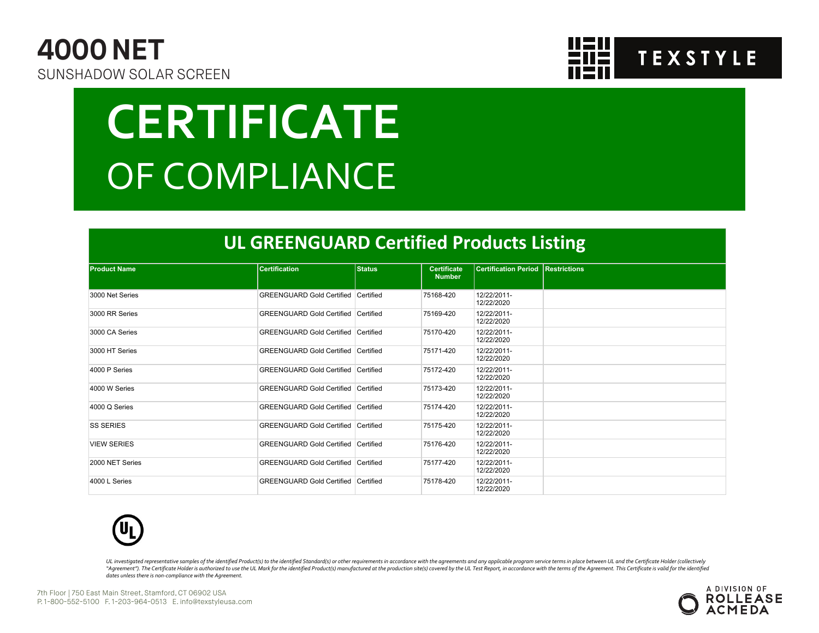



# **CERTIFICATE** OF COMPLIANCE

#### **UL GREENGUARD Certified Products Listing**

| <b>Product Name</b> | <b>Certification</b>                       | <b>Status</b> | <b>Certificate</b><br><b>Number</b> | <b>Certification Period Restrictions</b> |  |
|---------------------|--------------------------------------------|---------------|-------------------------------------|------------------------------------------|--|
|                     |                                            |               |                                     |                                          |  |
| 3000 Net Series     | GREENGUARD Gold Certified Certified        |               | 75168-420                           | 12/22/2011-<br>12/22/2020                |  |
| 3000 RR Series      | GREENGUARD Gold Certified Certified        |               | 75169-420                           | 12/22/2011-<br>12/22/2020                |  |
| 3000 CA Series      | GREENGUARD Gold Certified Certified        |               | 75170-420                           | 12/22/2011-<br>12/22/2020                |  |
| 3000 HT Series      | GREENGUARD Gold Certified Certified        |               | 75171-420                           | 12/22/2011-<br>12/22/2020                |  |
| 4000 P Series       | <b>GREENGUARD Gold Certified Certified</b> |               | 75172-420                           | 12/22/2011-<br>12/22/2020                |  |
| 4000 W Series       | GREENGUARD Gold Certified Certified        |               | 75173-420                           | 12/22/2011-<br>12/22/2020                |  |
| 4000 Q Series       | GREENGUARD Gold Certified Certified        |               | 75174-420                           | 12/22/2011-<br>12/22/2020                |  |
| <b>SS SERIES</b>    | GREENGUARD Gold Certified Certified        |               | 75175-420                           | 12/22/2011-<br>12/22/2020                |  |
| <b>VIEW SERIES</b>  | GREENGUARD Gold Certified Certified        |               | 75176-420                           | 12/22/2011-<br>12/22/2020                |  |
| 2000 NET Series     | <b>GREENGUARD Gold Certified Certified</b> |               | 75177-420                           | 12/22/2011-<br>12/22/2020                |  |
| 4000 L Series       | <b>GREENGUARD Gold Certified Certified</b> |               | 75178-420                           | 12/22/2011-<br>12/22/2020                |  |



UL investigated representative samples of the identified Product(s) to the identified Standard(s) or other requirements in accordance with the agreements and any applicable program service terms in place between UL and the "Agreement"). The Certificate Holder is authorized to use the UL Mark for the identified Product(s) manufactured at the production site(s) covered by the UL Test Report, in accordance with the terms of the Agreement. This *dates unless there is non-compliance with the Agreement.*

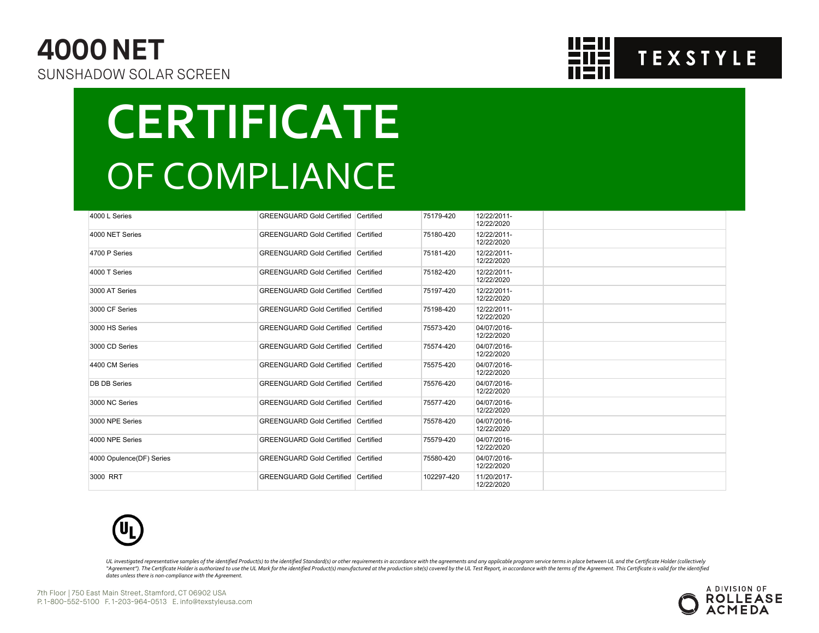### **4000 NET**  SUNSHADOW SOLAR SCREEN



### **CERTIFICATE** OF COMPLIANCE

| 4000 L Series            | <b>GREENGUARD Gold Certified Certified</b> | 75179-420  | 12/22/2011-<br>12/22/2020 |  |
|--------------------------|--------------------------------------------|------------|---------------------------|--|
| 4000 NET Series          | <b>GREENGUARD Gold Certified Certified</b> | 75180-420  | 12/22/2011-<br>12/22/2020 |  |
| 4700 P Series            | <b>GREENGUARD Gold Certified Certified</b> | 75181-420  | 12/22/2011-<br>12/22/2020 |  |
| 4000 T Series            | <b>GREENGUARD Gold Certified Certified</b> | 75182-420  | 12/22/2011-<br>12/22/2020 |  |
| 3000 AT Series           | <b>GREENGUARD Gold Certified Certified</b> | 75197-420  | 12/22/2011-<br>12/22/2020 |  |
| 3000 CF Series           | <b>GREENGUARD Gold Certified Certified</b> | 75198-420  | 12/22/2011-<br>12/22/2020 |  |
| 3000 HS Series           | <b>GREENGUARD Gold Certified Certified</b> | 75573-420  | 04/07/2016-<br>12/22/2020 |  |
| 3000 CD Series           | <b>GREENGUARD Gold Certified Certified</b> | 75574-420  | 04/07/2016-<br>12/22/2020 |  |
| 4400 CM Series           | <b>GREENGUARD Gold Certified Certified</b> | 75575-420  | 04/07/2016-<br>12/22/2020 |  |
| <b>DB DB Series</b>      | <b>GREENGUARD Gold Certified Certified</b> | 75576-420  | 04/07/2016-<br>12/22/2020 |  |
| 3000 NC Series           | <b>GREENGUARD Gold Certified Certified</b> | 75577-420  | 04/07/2016-<br>12/22/2020 |  |
| 3000 NPE Series          | <b>GREENGUARD Gold Certified Certified</b> | 75578-420  | 04/07/2016-<br>12/22/2020 |  |
| 4000 NPE Series          | <b>GREENGUARD Gold Certified Certified</b> | 75579-420  | 04/07/2016-<br>12/22/2020 |  |
| 4000 Opulence(DF) Series | <b>GREENGUARD Gold Certified Certified</b> | 75580-420  | 04/07/2016-<br>12/22/2020 |  |
| 3000 RRT                 | <b>GREENGUARD Gold Certified Certified</b> | 102297-420 | 11/20/2017-<br>12/22/2020 |  |



UL investigated representative samples of the identified Product(s) to the identified Standard(s) or other requirements in accordance with the agreements and any applicable program service terms in place between UL and the "Agreement"). The Certificate Holder is authorized to use the UL Mark for the identified Product(s) manufactured at the production site(s) covered by the UL Test Report, in accordance with the terms of the Agreement. This *dates unless there is non-compliance with the Agreement.*



7th Floor | 750 East Main Street, Stamford, CT 06902 USA P. 1-800-552-5100 F. 1-203-964-0513 E. info@texstyleusa.com